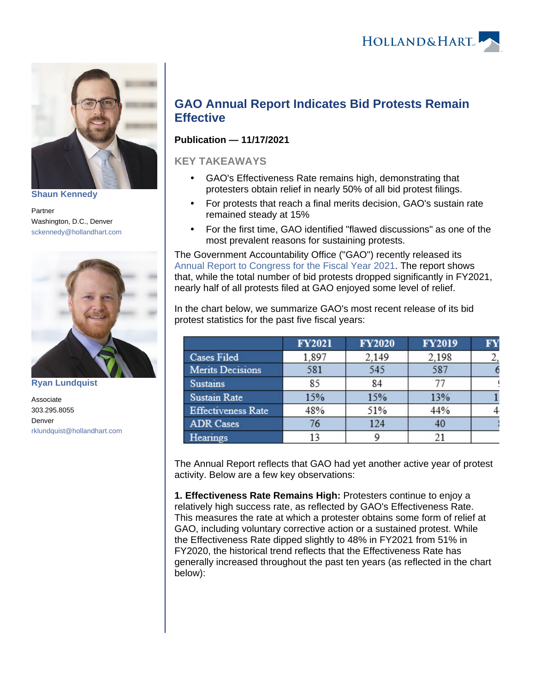

**[Shaun Kennedy](https://www.hollandhart.com/36458)**

Partner Washington, D.C., Denver [sckennedy@hollandhart.com](mailto:sckennedy@hollandhart.com)



**[Ryan Lundquist](https://www.hollandhart.com/39570)**

Associate 303.295.8055 Denver [rklundquist@hollandhart.com](mailto:rklundquist@hollandhart.com)

## **GAO Annual Report Indicates Bid Protests Remain Effective**

## **Publication — 11/17/2021**

## **KEY TAKEAWAYS**

- GAO's Effectiveness Rate remains high, demonstrating that protesters obtain relief in nearly 50% of all bid protest filings.
- For protests that reach a final merits decision, GAO's sustain rate remained steady at 15%
- For the first time, GAO identified "flawed discussions" as one of the most prevalent reasons for sustaining protests.

The Government Accountability Office ("GAO") recently released its [Annual Report to Congress for the Fiscal Year 2021](https://www.gao.gov/assets/gao-22-900379.pdf). The report shows that, while the total number of bid protests dropped significantly in FY2021, nearly half of all protests filed at GAO enjoyed some level of relief.

In the chart below, we summarize GAO's most recent release of its bid protest statistics for the past five fiscal years:

|                           | <b>FY2021</b> | <b>FY2020</b> | <b>FY2019</b> | FY |
|---------------------------|---------------|---------------|---------------|----|
| <b>Cases Filed</b>        | 1,897         | 2,149         | 2.198         |    |
| <b>Merits Decisions</b>   | 581           | 545           | 587           |    |
| <b>Sustains</b>           | 85            | 84            | 77            |    |
| <b>Sustain Rate</b>       | 15%           | 15%           | 13%           |    |
| <b>Effectiveness Rate</b> | 48%           | 51%           | 44%           |    |
| <b>ADR</b> Cases          | 76            | 124           | 40            |    |
| Hearings                  |               |               | 21            |    |

The Annual Report reflects that GAO had yet another active year of protest activity. Below are a few key observations:

**1. Effectiveness Rate Remains High:** Protesters continue to enjoy a relatively high success rate, as reflected by GAO's Effectiveness Rate. This measures the rate at which a protester obtains some form of relief at GAO, including voluntary corrective action or a sustained protest. While the Effectiveness Rate dipped slightly to 48% in FY2021 from 51% in FY2020, the historical trend reflects that the Effectiveness Rate has generally increased throughout the past ten years (as reflected in the chart below):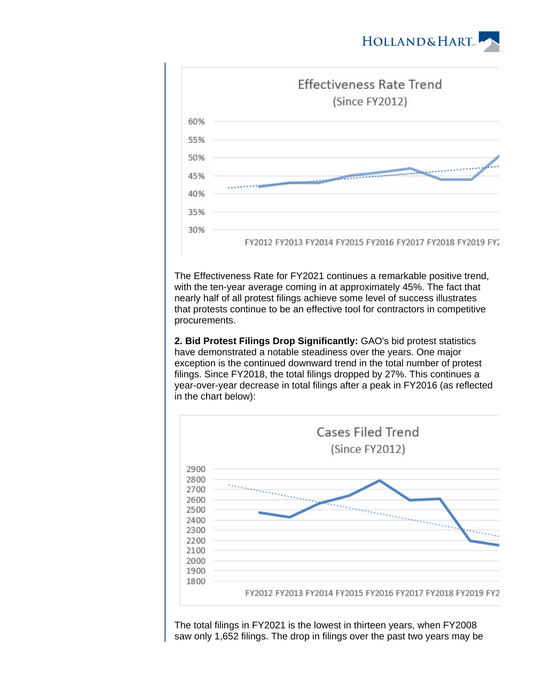



The Effectiveness Rate for FY2021 continues a remarkable positive trend, with the ten-year average coming in at approximately 45%. The fact that nearly half of all protest filings achieve some level of success illustrates that protests continue to be an effective tool for contractors in competitive procurements.

**2. Bid Protest Filings Drop Significantly:** GAO's bid protest statistics have demonstrated a notable steadiness over the years. One major exception is the continued downward trend in the total number of protest filings. Since FY2018, the total filings dropped by 27%. This continues a year-over-year decrease in total filings after a peak in FY2016 (as reflected in the chart below):



The total filings in FY2021 is the lowest in thirteen years, when FY2008 saw only 1,652 filings. The drop in filings over the past two years may be